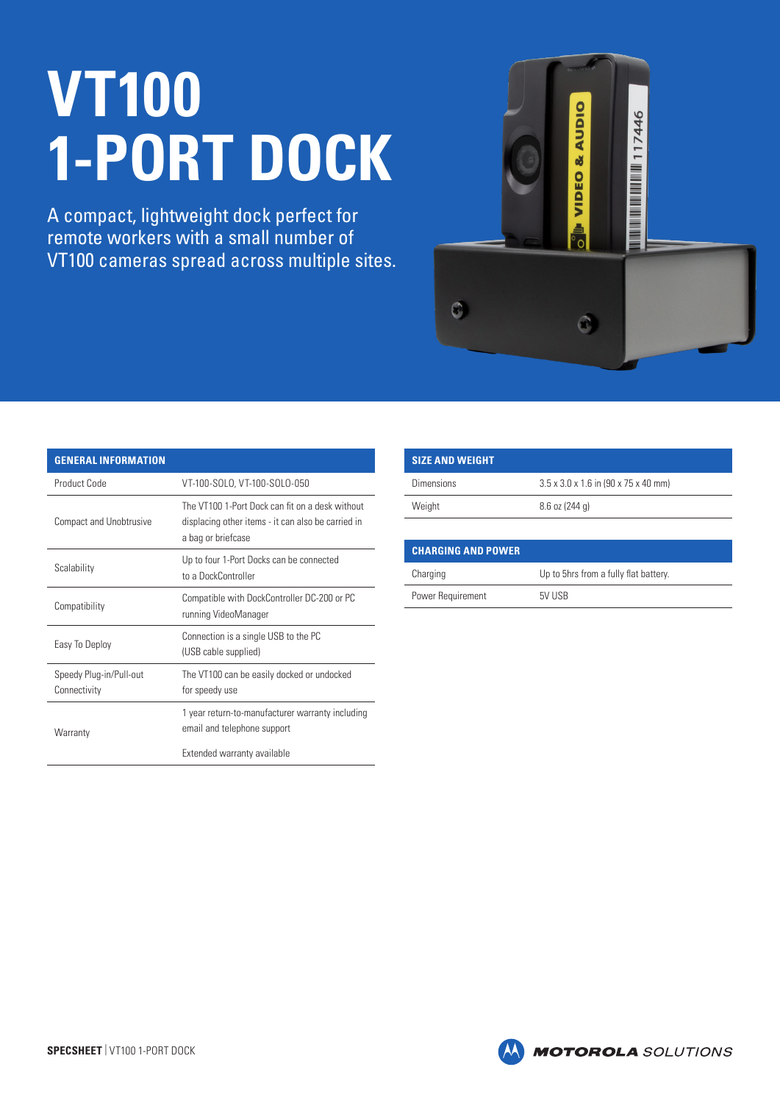## **VT100 1-PORT DOCK**

A compact, lightweight dock perfect for remote workers with a small number of VT100 cameras spread across multiple sites.



| <b>GENERAL INFORMATION</b>              |                                                                                                                             |
|-----------------------------------------|-----------------------------------------------------------------------------------------------------------------------------|
| Product Code                            | VT-100-SOLO, VT-100-SOLO-050                                                                                                |
| <b>Compact and Unobtrusive</b>          | The VT100 1-Port Dock can fit on a desk without<br>displacing other items - it can also be carried in<br>a bag or briefcase |
| Scalability                             | Up to four 1-Port Docks can be connected<br>to a DockController                                                             |
| Compatibility                           | Compatible with DockController DC-200 or PC<br>running VideoManager                                                         |
| Easy To Deploy                          | Connection is a single USB to the PC<br>(USB cable supplied)                                                                |
| Speedy Plug-in/Pull-out<br>Connectivity | The VT100 can be easily docked or undocked<br>for speedy use                                                                |
| Warranty                                | 1 year return-to-manufacturer warranty including<br>email and telephone support                                             |
|                                         | Extended warranty available                                                                                                 |

| <b>SIZE AND WEIGHT</b> |                                                  |
|------------------------|--------------------------------------------------|
| Dimensions             | $3.5 \times 3.0 \times 1.6$ in (90 x 75 x 40 mm) |
| Weight                 | $8.6$ oz (244 g)                                 |

| <b>CHARGING AND POWER</b> |                                       |
|---------------------------|---------------------------------------|
| Charging                  | Up to 5hrs from a fully flat battery. |
| Power Requirement         | 5V USB                                |